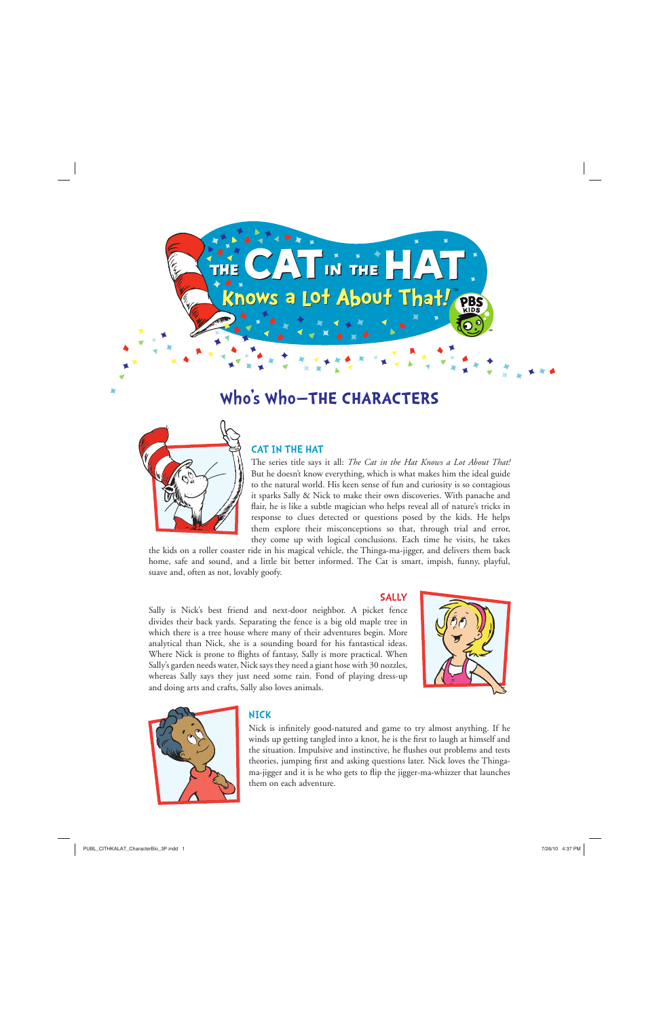

# **Who's Who—THE CHARACTERS**



# CAT IN THE HAT

The series title says it all: *The Cat in the Hat Knows a Lot About That!* But he doesn't know everything, which is what makes him the ideal guide to the natural world. His keen sense of fun and curiosity is so contagious it sparks Sally & Nick to make their own discoveries. With panache and flair, he is like a subtle magician who helps reveal all of nature's tricks in response to clues detected or questions posed by the kids. He helps them explore their misconceptions so that, through trial and error, they come up with logical conclusions. Each time he visits, he takes

SALLY

the kids on a roller coaster ride in his magical vehicle, the Thinga-ma-jigger, and delivers them back home, safe and sound, and a little bit better informed. The Cat is smart, impish, funny, playful, suave and, often as not, lovably goofy.

Sally is Nick's best friend and next-door neighbor. A picket fence divides their back yards. Separating the fence is a big old maple tree in which there is a tree house where many of their adventures begin. More analytical than Nick, she is a sounding board for his fantastical ideas. Where Nick is prone to flights of fantasy, Sally is more practical. When Sally's garden needs water, Nick says they need a giant hose with 30 nozzles, whereas Sally says they just need some rain. Fond of playing dress-up and doing arts and crafts, Sally also loves animals.





#### NICK

Nick is infinitely good-natured and game to try almost anything. If he winds up getting tangled into a knot, he is the first to laugh at himself and the situation. Impulsive and instinctive, he flushes out problems and tests theories, jumping first and asking questions later. Nick loves the Thingama-jigger and it is he who gets to flip the jigger-ma-whizzer that launches them on each adventure.